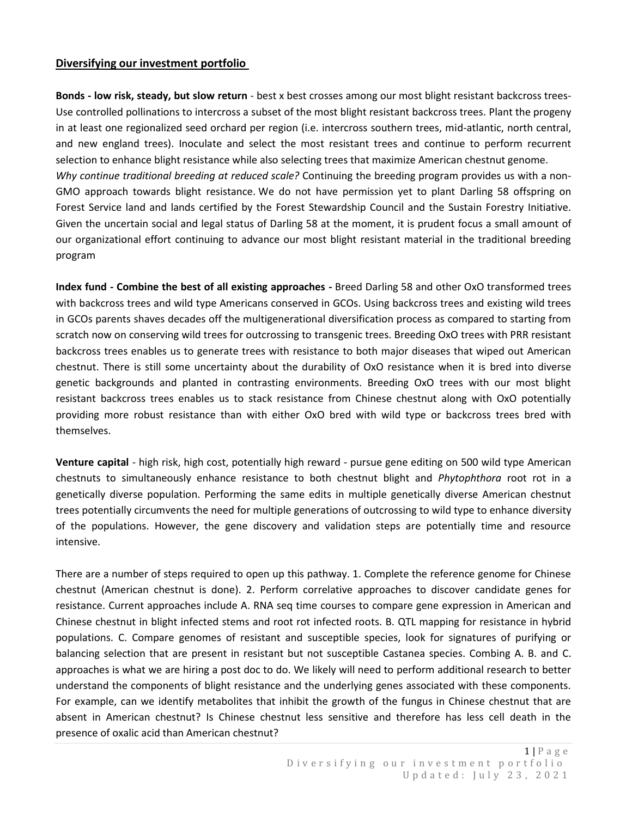## **Diversifying our investment portfolio**

**Bonds - low risk, steady, but slow return** - best x best crosses among our most blight resistant backcross trees-Use controlled pollinations to intercross a subset of the most blight resistant backcross trees. Plant the progeny in at least one regionalized seed orchard per region (i.e. intercross southern trees, mid-atlantic, north central, and new england trees). Inoculate and select the most resistant trees and continue to perform recurrent selection to enhance blight resistance while also selecting trees that maximize American chestnut genome. *Why continue traditional breeding at reduced scale?* Continuing the breeding program provides us with a non-GMO approach towards blight resistance. We do not have permission yet to plant Darling 58 offspring on Forest Service land and lands certified by the Forest Stewardship Council and the Sustain Forestry Initiative. Given the uncertain social and legal status of Darling 58 at the moment, it is prudent focus a small amount of our organizational effort continuing to advance our most blight resistant material in the traditional breeding program

**Index fund - Combine the best of all existing approaches -** Breed Darling 58 and other OxO transformed trees with backcross trees and wild type Americans conserved in GCOs. Using backcross trees and existing wild trees in GCOs parents shaves decades off the multigenerational diversification process as compared to starting from scratch now on conserving wild trees for outcrossing to transgenic trees. Breeding OxO trees with PRR resistant backcross trees enables us to generate trees with resistance to both major diseases that wiped out American chestnut. There is still some uncertainty about the durability of OxO resistance when it is bred into diverse genetic backgrounds and planted in contrasting environments. Breeding OxO trees with our most blight resistant backcross trees enables us to stack resistance from Chinese chestnut along with OxO potentially providing more robust resistance than with either OxO bred with wild type or backcross trees bred with themselves.

**Venture capital** - high risk, high cost, potentially high reward - pursue gene editing on 500 wild type American chestnuts to simultaneously enhance resistance to both chestnut blight and *Phytophthora* root rot in a genetically diverse population. Performing the same edits in multiple genetically diverse American chestnut trees potentially circumvents the need for multiple generations of outcrossing to wild type to enhance diversity of the populations. However, the gene discovery and validation steps are potentially time and resource intensive.

There are a number of steps required to open up this pathway. 1. Complete the reference genome for Chinese chestnut (American chestnut is done). 2. Perform correlative approaches to discover candidate genes for resistance. Current approaches include A. RNA seq time courses to compare gene expression in American and Chinese chestnut in blight infected stems and root rot infected roots. B. QTL mapping for resistance in hybrid populations. C. Compare genomes of resistant and susceptible species, look for signatures of purifying or balancing selection that are present in resistant but not susceptible Castanea species. Combing A. B. and C. approaches is what we are hiring a post doc to do. We likely will need to perform additional research to better understand the components of blight resistance and the underlying genes associated with these components. For example, can we identify metabolites that inhibit the growth of the fungus in Chinese chestnut that are absent in American chestnut? Is Chinese chestnut less sensitive and therefore has less cell death in the presence of oxalic acid than American chestnut?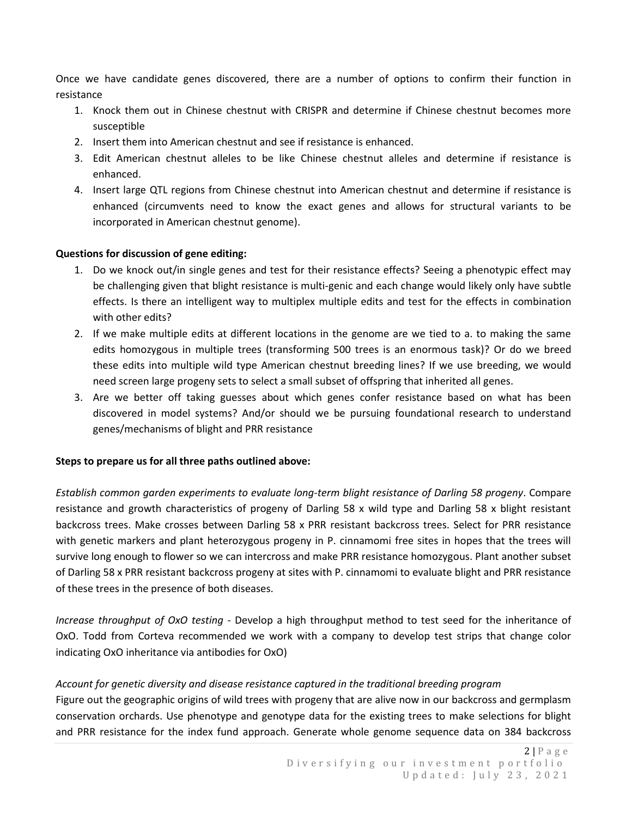Once we have candidate genes discovered, there are a number of options to confirm their function in resistance

- 1. Knock them out in Chinese chestnut with CRISPR and determine if Chinese chestnut becomes more susceptible
- 2. Insert them into American chestnut and see if resistance is enhanced.
- 3. Edit American chestnut alleles to be like Chinese chestnut alleles and determine if resistance is enhanced.
- 4. Insert large QTL regions from Chinese chestnut into American chestnut and determine if resistance is enhanced (circumvents need to know the exact genes and allows for structural variants to be incorporated in American chestnut genome).

### **Questions for discussion of gene editing:**

- 1. Do we knock out/in single genes and test for their resistance effects? Seeing a phenotypic effect may be challenging given that blight resistance is multi-genic and each change would likely only have subtle effects. Is there an intelligent way to multiplex multiple edits and test for the effects in combination with other edits?
- 2. If we make multiple edits at different locations in the genome are we tied to a. to making the same edits homozygous in multiple trees (transforming 500 trees is an enormous task)? Or do we breed these edits into multiple wild type American chestnut breeding lines? If we use breeding, we would need screen large progeny sets to select a small subset of offspring that inherited all genes.
- 3. Are we better off taking guesses about which genes confer resistance based on what has been discovered in model systems? And/or should we be pursuing foundational research to understand genes/mechanisms of blight and PRR resistance

### **Steps to prepare us for all three paths outlined above:**

*Establish common garden experiments to evaluate long-term blight resistance of Darling 58 progeny*. Compare resistance and growth characteristics of progeny of Darling 58 x wild type and Darling 58 x blight resistant backcross trees. Make crosses between Darling 58 x PRR resistant backcross trees. Select for PRR resistance with genetic markers and plant heterozygous progeny in P. cinnamomi free sites in hopes that the trees will survive long enough to flower so we can intercross and make PRR resistance homozygous. Plant another subset of Darling 58 x PRR resistant backcross progeny at sites with P. cinnamomi to evaluate blight and PRR resistance of these trees in the presence of both diseases.

*Increase throughput of OxO testing* - Develop a high throughput method to test seed for the inheritance of OxO. Todd from Corteva recommended we work with a company to develop test strips that change color indicating OxO inheritance via antibodies for OxO)

# *Account for genetic diversity and disease resistance captured in the traditional breeding program*

Figure out the geographic origins of wild trees with progeny that are alive now in our backcross and germplasm conservation orchards. Use phenotype and genotype data for the existing trees to make selections for blight and PRR resistance for the index fund approach. Generate whole genome sequence data on 384 backcross